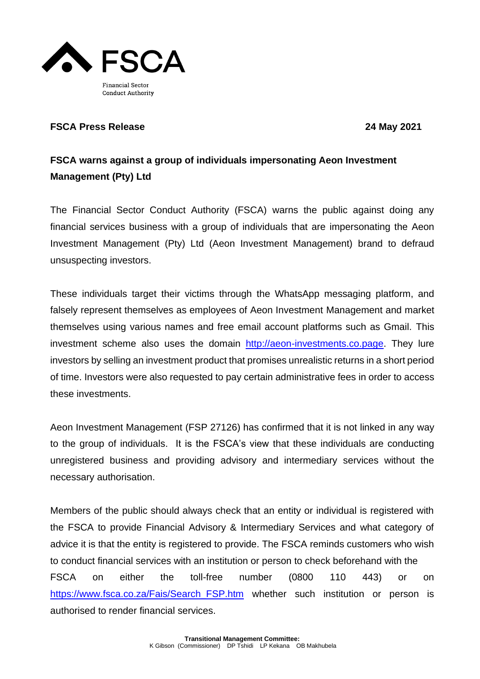

## **FSCA Press Release 24 May 2021**

## **FSCA warns against a group of individuals impersonating Aeon Investment Management (Pty) Ltd**

The Financial Sector Conduct Authority (FSCA) warns the public against doing any financial services business with a group of individuals that are impersonating the Aeon Investment Management (Pty) Ltd (Aeon Investment Management) brand to defraud unsuspecting investors.

These individuals target their victims through the WhatsApp messaging platform, and falsely represent themselves as employees of Aeon Investment Management and market themselves using various names and free email account platforms such as Gmail. This investment scheme also uses the domain [http://aeon-investments.co.page.](http://aeon-investments.co.page/) They lure investors by selling an investment product that promises unrealistic returns in a short period of time. Investors were also requested to pay certain administrative fees in order to access these investments.

Aeon Investment Management (FSP 27126) has confirmed that it is not linked in any way to the group of individuals. It is the FSCA's view that these individuals are conducting unregistered business and providing advisory and intermediary services without the necessary authorisation.

Members of the public should always check that an entity or individual is registered with the FSCA to provide Financial Advisory & Intermediary Services and what category of advice it is that the entity is registered to provide. The FSCA reminds customers who wish to conduct financial services with an institution or person to check beforehand with the FSCA on either the toll-free number (0800 110 443) or on [https://www.fsca.co.za/Fais/Search\\_FSP.htm](https://www.fsca.co.za/Fais/Search_FSP.htm) whether such institution or person is authorised to render financial services.